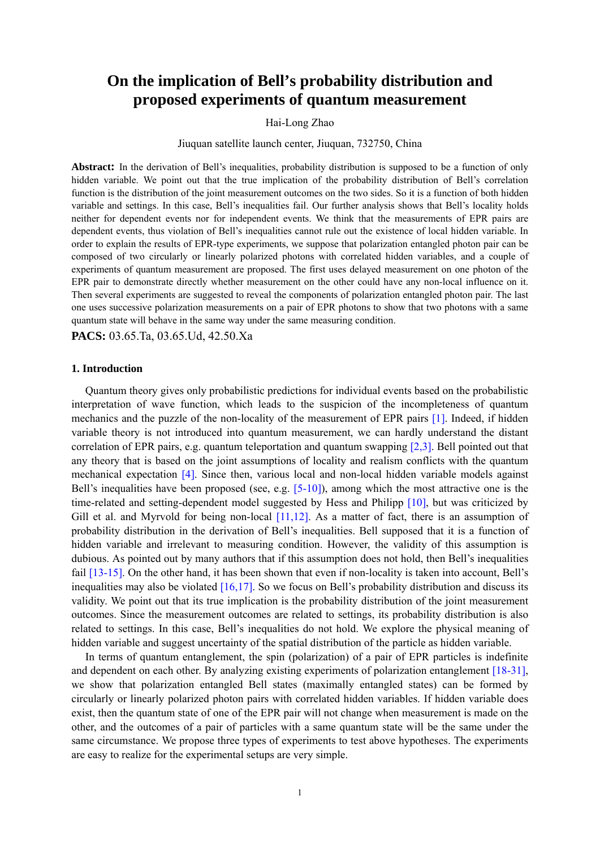# **On the implication of Bell's probability distribution and proposed experiments of quantum measurement**

# Hai-Long Zhao

Jiuquan satellite launch center, Jiuquan, 732750, China

**Abstract:** In the derivation of Bell's inequalities, probability distribution is supposed to be a function of only hidden variable. We point out that the true implication of the probability distribution of Bell's correlation function is the distribution of the joint measurement outcomes on the two sides. So it is a function of both hidden variable and settings. In this case, Bell's inequalities fail. Our further analysis shows that Bell's locality holds neither for dependent events nor for independent events. We think that the measurements of EPR pairs are dependent events, thus violation of Bell's inequalities cannot rule out the existence of local hidden variable. In order to explain the results of EPR-type experiments, we suppose that polarization entangled photon pair can be composed of two circularly or linearly polarized photons with correlated hidden variables, and a couple of experiments of quantum measurement are proposed. The first uses delayed measurement on one photon of the EPR pair to demonstrate directly whether measurement on the other could have any non-local influence on it. Then several experiments are suggested to reveal the components of polarization entangled photon pair. The last one uses successive polarization measurements on a pair of EPR photons to show that two photons with a same quantum state will behave in the same way under the same measuring condition.

**PACS:** 03.65.Ta, 03.65.Ud, 42.50.Xa

## **1. Introduction**

Quantum theory gives only probabilistic predictions for individual events based on the probabilistic interpretation of wave function, which leads to the suspicion of the incompleteness of quantum mechanics and the puzzle of the non-locality of the measurement of EPR pairs [1]. Indeed, if hidden variable theory is not introduced into quantum measurement, we can hardly understand the distant correlation of EPR pairs, e.g. quantum teleportation and quantum swapping [2,3]. Bell pointed out that any theory that is based on the joint assumptions of locality and realism conflicts with the quantum mechanical expectation [4]. Since then, various local and non-local hidden variable models against Bell's inequalities have been proposed (see, e.g.  $[5-10]$ ), among which the most attractive one is the time-related and setting-dependent model suggested by Hess and Philipp [10], but was criticized by Gill et al. and Myrvold for being non-local [11,12]. As a matter of fact, there is an assumption of probability distribution in the derivation of Bell's inequalities. Bell supposed that it is a function of hidden variable and irrelevant to measuring condition. However, the validity of this assumption is dubious. As pointed out by many authors that if this assumption does not hold, then Bell's inequalities fail [13-15]. On the other hand, it has been shown that even if non-locality is taken into account, Bell's inequalities may also be violated  $[16,17]$ . So we focus on Bell's probability distribution and discuss its validity. We point out that its true implication is the probability distribution of the joint measurement outcomes. Since the measurement outcomes are related to settings, its probability distribution is also related to settings. In this case, Bell's inequalities do not hold. We explore the physical meaning of hidden variable and suggest uncertainty of the spatial distribution of the particle as hidden variable.

In terms of quantum entanglement, the spin (polarization) of a pair of EPR particles is indefinite and dependent on each other. By analyzing existing experiments of polarization entanglement [18-31], we show that polarization entangled Bell states (maximally entangled states) can be formed by circularly or linearly polarized photon pairs with correlated hidden variables. If hidden variable does exist, then the quantum state of one of the EPR pair will not change when measurement is made on the other, and the outcomes of a pair of particles with a same quantum state will be the same under the same circumstance. We propose three types of experiments to test above hypotheses. The experiments are easy to realize for the experimental setups are very simple.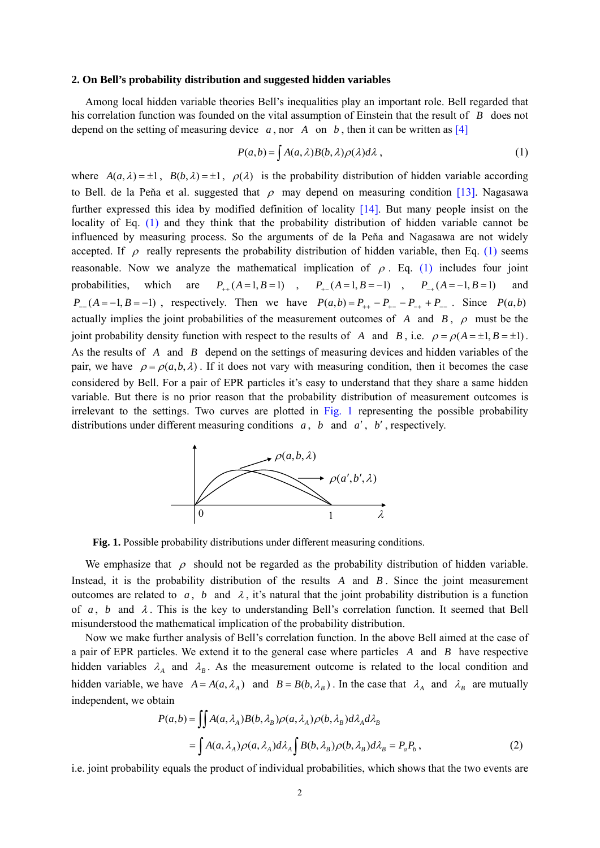## **2. On Bell's probability distribution and suggested hidden variables**

Among local hidden variable theories Bell's inequalities play an important role. Bell regarded that his correlation function was founded on the vital assumption of Einstein that the result of *B* does not depend on the setting of measuring device  $a$ , nor  $A$  on  $b$ , then it can be written as [4]

$$
P(a,b) = \int A(a,\lambda)B(b,\lambda)\rho(\lambda)d\lambda,
$$
\n(1)

where  $A(a,\lambda) = \pm 1$ ,  $B(b,\lambda) = \pm 1$ ,  $\rho(\lambda)$  is the probability distribution of hidden variable according to Bell. de la Peňa et al. suggested that  $\rho$  may depend on measuring condition [13]. Nagasawa further expressed this idea by modified definition of locality [14]. But many people insist on the locality of Eq. (1) and they think that the probability distribution of hidden variable cannot be influenced by measuring process. So the arguments of de la Peňa and Nagasawa are not widely accepted. If  $\rho$  really represents the probability distribution of hidden variable, then Eq. (1) seems reasonable. Now we analyze the mathematical implication of  $\rho$ . Eq. (1) includes four joint probabilities, which are  $P_{++}(A=1, B=1)$ ,  $P_{+-}(A=1, B=-1)$ ,  $P_{-+}(A=-1, B=1)$  and  $P_{-}(A=-1, B=-1)$ , respectively. Then we have  $P(a,b)=P_{++}-P_{+}-P_{-+}+P_{-}$ . Since  $P(a,b)$ actually implies the joint probabilities of the measurement outcomes of *A* and *B*,  $\rho$  must be the joint probability density function with respect to the results of *A* and *B*, i.e.  $\rho = \rho(A = \pm 1, B = \pm 1)$ . As the results of *A* and *B* depend on the settings of measuring devices and hidden variables of the pair, we have  $\rho = \rho(a,b,\lambda)$ . If it does not vary with measuring condition, then it becomes the case considered by Bell. For a pair of EPR particles it's easy to understand that they share a same hidden variable. But there is no prior reason that the probability distribution of measurement outcomes is irrelevant to the settings. Two curves are plotted in Fig. 1 representing the possible probability distributions under different measuring conditions *a* , *b* and *a* , *b* , respectively.



**Fig. 1.** Possible probability distributions under different measuring conditions.

We emphasize that  $\rho$  should not be regarded as the probability distribution of hidden variable. Instead, it is the probability distribution of the results *A* and *B* . Since the joint measurement outcomes are related to *a*, *b* and  $\lambda$ , it's natural that the joint probability distribution is a function of  $a$ ,  $b$  and  $\lambda$ . This is the key to understanding Bell's correlation function. It seemed that Bell misunderstood the mathematical implication of the probability distribution.

Now we make further analysis of Bell's correlation function. In the above Bell aimed at the case of a pair of EPR particles. We extend it to the general case where particles *A* and *B* have respective hidden variables  $\lambda_A$  and  $\lambda_B$ . As the measurement outcome is related to the local condition and hidden variable, we have  $A = A(a, \lambda_A)$  and  $B = B(b, \lambda_B)$ . In the case that  $\lambda_A$  and  $\lambda_B$  are mutually independent, we obtain

$$
P(a,b) = \iint A(a,\lambda_A)B(b,\lambda_B)\rho(a,\lambda_A)\rho(b,\lambda_B)d\lambda_A d\lambda_B
$$
  
= 
$$
\int A(a,\lambda_A)\rho(a,\lambda_A)d\lambda_A \int B(b,\lambda_B)\rho(b,\lambda_B)d\lambda_B = P_a P_b,
$$
 (2)

i.e. joint probability equals the product of individual probabilities, which shows that the two events are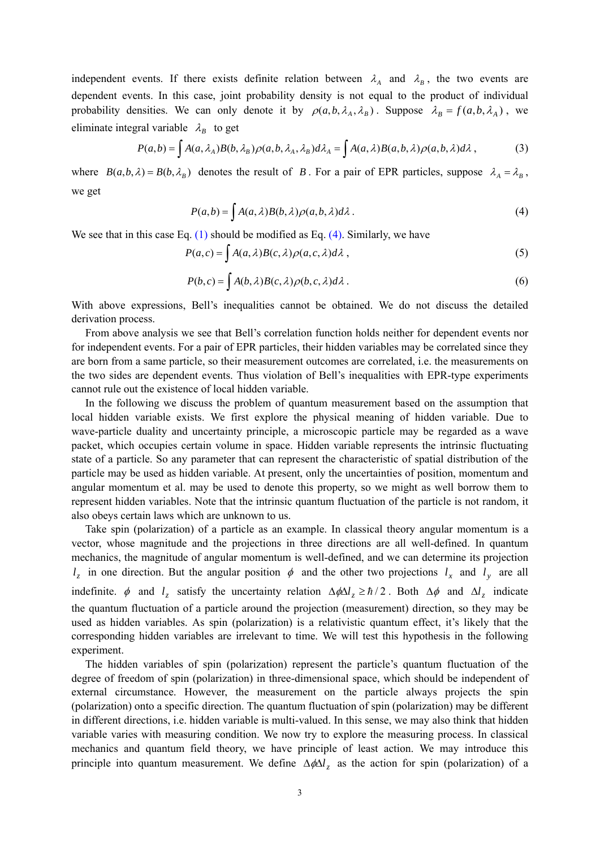independent events. If there exists definite relation between  $\lambda_A$  and  $\lambda_B$ , the two events are dependent events. In this case, joint probability density is not equal to the product of individual probability densities. We can only denote it by  $\rho(a, b, \lambda_A, \lambda_B)$ . Suppose  $\lambda_B = f(a, b, \lambda_A)$ , we eliminate integral variable  $\lambda_B$  to get

$$
P(a,b) = \int A(a,\lambda_A)B(b,\lambda_B)\rho(a,b,\lambda_A,\lambda_B)d\lambda_A = \int A(a,\lambda)B(a,b,\lambda)\rho(a,b,\lambda)d\lambda,
$$
 (3)

where  $B(a, b, \lambda) = B(b, \lambda_B)$  denotes the result of *B*. For a pair of EPR particles, suppose  $\lambda_A = \lambda_B$ , we get

$$
P(a,b) = \int A(a,\lambda)B(b,\lambda)\rho(a,b,\lambda)d\lambda.
$$
 (4)

We see that in this case Eq.  $(1)$  should be modified as Eq.  $(4)$ . Similarly, we have

$$
P(a,c) = \int A(a,\lambda)B(c,\lambda)\rho(a,c,\lambda)d\lambda,
$$
\n(5)

$$
P(b,c) = \int A(b,\lambda)B(c,\lambda)\rho(b,c,\lambda)d\lambda.
$$
 (6)

With above expressions, Bell's inequalities cannot be obtained. We do not discuss the detailed derivation process.

From above analysis we see that Bell's correlation function holds neither for dependent events nor for independent events. For a pair of EPR particles, their hidden variables may be correlated since they are born from a same particle, so their measurement outcomes are correlated, i.e. the measurements on the two sides are dependent events. Thus violation of Bell's inequalities with EPR-type experiments cannot rule out the existence of local hidden variable.

In the following we discuss the problem of quantum measurement based on the assumption that local hidden variable exists. We first explore the physical meaning of hidden variable. Due to wave-particle duality and uncertainty principle, a microscopic particle may be regarded as a wave packet, which occupies certain volume in space. Hidden variable represents the intrinsic fluctuating state of a particle. So any parameter that can represent the characteristic of spatial distribution of the particle may be used as hidden variable. At present, only the uncertainties of position, momentum and angular momentum et al. may be used to denote this property, so we might as well borrow them to represent hidden variables. Note that the intrinsic quantum fluctuation of the particle is not random, it also obeys certain laws which are unknown to us.

Take spin (polarization) of a particle as an example. In classical theory angular momentum is a vector, whose magnitude and the projections in three directions are all well-defined. In quantum mechanics, the magnitude of angular momentum is well-defined, and we can determine its projection  $l_z$  in one direction. But the angular position  $\phi$  and the other two projections  $l_x$  and  $l_y$  are all indefinite.  $\phi$  and  $l_z$  satisfy the uncertainty relation  $\Delta \phi \Delta l_z \ge \hbar/2$ . Both  $\Delta \phi$  and  $\Delta l_z$  indicate the quantum fluctuation of a particle around the projection (measurement) direction, so they may be used as hidden variables. As spin (polarization) is a relativistic quantum effect, it's likely that the corresponding hidden variables are irrelevant to time. We will test this hypothesis in the following experiment.

The hidden variables of spin (polarization) represent the particle's quantum fluctuation of the degree of freedom of spin (polarization) in three-dimensional space, which should be independent of external circumstance. However, the measurement on the particle always projects the spin (polarization) onto a specific direction. The quantum fluctuation of spin (polarization) may be different in different directions, i.e. hidden variable is multi-valued. In this sense, we may also think that hidden variable varies with measuring condition. We now try to explore the measuring process. In classical mechanics and quantum field theory, we have principle of least action. We may introduce this principle into quantum measurement. We define  $\Delta \phi \Delta l_z$  as the action for spin (polarization) of a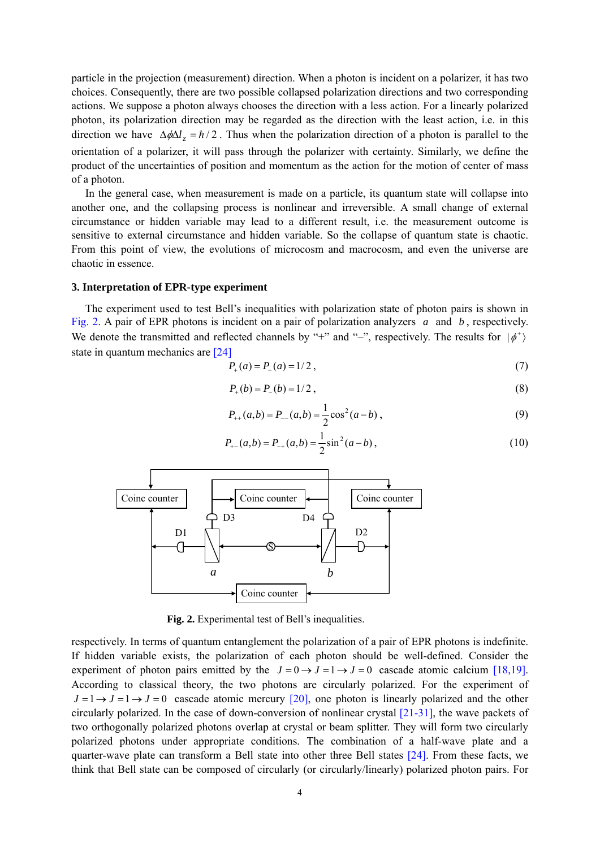particle in the projection (measurement) direction. When a photon is incident on a polarizer, it has two choices. Consequently, there are two possible collapsed polarization directions and two corresponding actions. We suppose a photon always chooses the direction with a less action. For a linearly polarized photon, its polarization direction may be regarded as the direction with the least action, i.e. in this direction we have  $\Delta \phi \Delta l_z = \hbar / 2$ . Thus when the polarization direction of a photon is parallel to the orientation of a polarizer, it will pass through the polarizer with certainty. Similarly, we define the product of the uncertainties of position and momentum as the action for the motion of center of mass of a photon.

In the general case, when measurement is made on a particle, its quantum state will collapse into another one, and the collapsing process is nonlinear and irreversible. A small change of external circumstance or hidden variable may lead to a different result, i.e. the measurement outcome is sensitive to external circumstance and hidden variable. So the collapse of quantum state is chaotic. From this point of view, the evolutions of microcosm and macrocosm, and even the universe are chaotic in essence.

## **3. Interpretation of EPR-type experiment**

The experiment used to test Bell's inequalities with polarization state of photon pairs is shown in Fig. 2. A pair of EPR photons is incident on a pair of polarization analyzers *a* and *b* , respectively. We denote the transmitted and reflected channels by "+" and "-", respectively. The results for  $|\phi^+\rangle$ state in quantum mechanics are [24]

$$
P_+(a) = P_-(a) = 1/2 \tag{7}
$$

$$
P_{+}(b) = P_{-}(b) = 1/2, \tag{8}
$$

$$
P_{++}(a,b) = P_{--}(a,b) = \frac{1}{2}\cos^2(a-b),
$$
\n(9)

$$
P_{+-}(a,b) = P_{-+}(a,b) = \frac{1}{2}\sin^2(a-b),
$$
\n(10)



**Fig. 2.** Experimental test of Bell's inequalities.

respectively. In terms of quantum entanglement the polarization of a pair of EPR photons is indefinite. If hidden variable exists, the polarization of each photon should be well-defined. Consider the experiment of photon pairs emitted by the  $J=0 \rightarrow J=1 \rightarrow J=0$  cascade atomic calcium [18,19]. According to classical theory, the two photons are circularly polarized. For the experiment of  $J=1 \rightarrow J=1 \rightarrow J=0$  cascade atomic mercury [20], one photon is linearly polarized and the other circularly polarized. In the case of down-conversion of nonlinear crystal [21-31], the wave packets of two orthogonally polarized photons overlap at crystal or beam splitter. They will form two circularly polarized photons under appropriate conditions. The combination of a half-wave plate and a quarter-wave plate can transform a Bell state into other three Bell states [24]. From these facts, we think that Bell state can be composed of circularly (or circularly/linearly) polarized photon pairs. For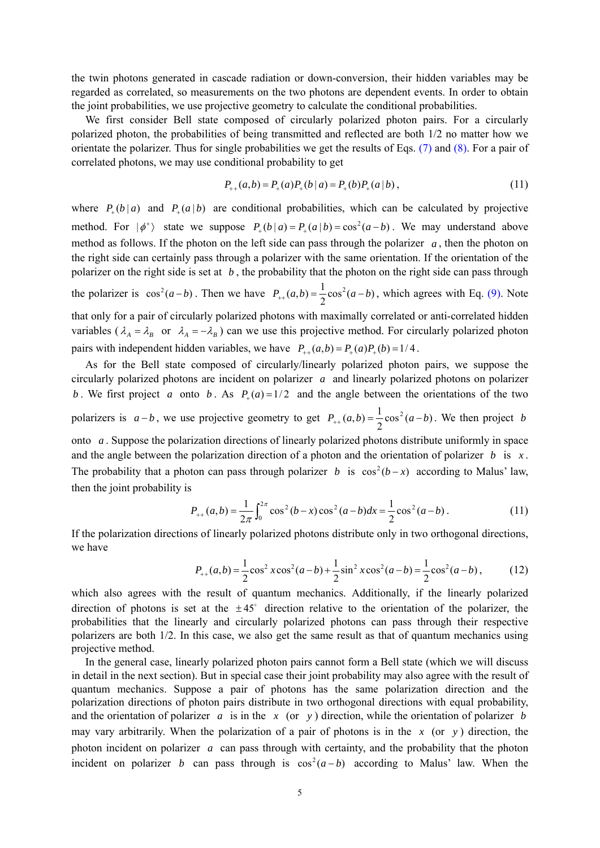the twin photons generated in cascade radiation or down-conversion, their hidden variables may be regarded as correlated, so measurements on the two photons are dependent events. In order to obtain the joint probabilities, we use projective geometry to calculate the conditional probabilities.

We first consider Bell state composed of circularly polarized photon pairs. For a circularly polarized photon, the probabilities of being transmitted and reflected are both 1/2 no matter how we orientate the polarizer. Thus for single probabilities we get the results of Eqs. (7) and (8). For a pair of correlated photons, we may use conditional probability to get

$$
P_{++}(a,b) = P_{+}(a)P_{+}(b|a) = P_{+}(b)P_{+}(a|b), \qquad (11)
$$

where  $P_+(b|a)$  and  $P_+(a|b)$  are conditional probabilities, which can be calculated by projective method. For  $|\phi^+\rangle$  state we suppose  $P_+(b|a) = P_+(a|b) = \cos^2(a-b)$ . We may understand above method as follows. If the photon on the left side can pass through the polarizer  $a$ , then the photon on the right side can certainly pass through a polarizer with the same orientation. If the orientation of the polarizer on the right side is set at *b* , the probability that the photon on the right side can pass through the polarizer is  $\cos^2(a-b)$ . Then we have  $P_{++}(a,b) = \frac{1}{2}\cos^2(a-b)$ , which agrees with Eq. (9). Note that only for a pair of circularly polarized photons with maximally correlated or anti-correlated hidden variables ( $\lambda_A = \lambda_B$  or  $\lambda_A = -\lambda_B$ ) can we use this projective method. For circularly polarized photon pairs with independent hidden variables, we have  $P_{+}(a,b) = P_{+}(a)P_{+}(b) = 1/4$ .

As for the Bell state composed of circularly/linearly polarized photon pairs, we suppose the circularly polarized photons are incident on polarizer *a* and linearly polarized photons on polarizer *b*. We first project *a* onto *b*. As  $P_+(a) = 1/2$  and the angle between the orientations of the two polarizers is  $a - b$ , we use projective geometry to get  $P_{++}(a, b) = \frac{1}{2} \cos^2(a - b)$ . We then project *b* onto *a* . Suppose the polarization directions of linearly polarized photons distribute uniformly in space and the angle between the polarization direction of a photon and the orientation of polarizer *b* is  $x$ . The probability that a photon can pass through polarizer *b* is  $\cos^2(b-x)$  according to Malus' law, then the joint probability is

$$
P_{++}(a,b) = \frac{1}{2\pi} \int_0^{2\pi} \cos^2(b-x) \cos^2(a-b) dx = \frac{1}{2} \cos^2(a-b).
$$
 (11)

If the polarization directions of linearly polarized photons distribute only in two orthogonal directions, we have

$$
P_{++}(a,b) = \frac{1}{2}\cos^2 x \cos^2(a-b) + \frac{1}{2}\sin^2 x \cos^2(a-b) = \frac{1}{2}\cos^2(a-b),
$$
 (12)

which also agrees with the result of quantum mechanics. Additionally, if the linearly polarized direction of photons is set at the  $\pm 45^{\circ}$  direction relative to the orientation of the polarizer, the probabilities that the linearly and circularly polarized photons can pass through their respective polarizers are both 1/2. In this case, we also get the same result as that of quantum mechanics using projective method.

In the general case, linearly polarized photon pairs cannot form a Bell state (which we will discuss in detail in the next section). But in special case their joint probability may also agree with the result of quantum mechanics. Suppose a pair of photons has the same polarization direction and the polarization directions of photon pairs distribute in two orthogonal directions with equal probability, and the orientation of polarizer *a* is in the *x* (or *y*) direction, while the orientation of polarizer *b* may vary arbitrarily. When the polarization of a pair of photons is in the *x* (or *y* ) direction, the photon incident on polarizer *a* can pass through with certainty, and the probability that the photon incident on polarizer *b* can pass through is  $\cos^2(a-b)$  according to Malus' law. When the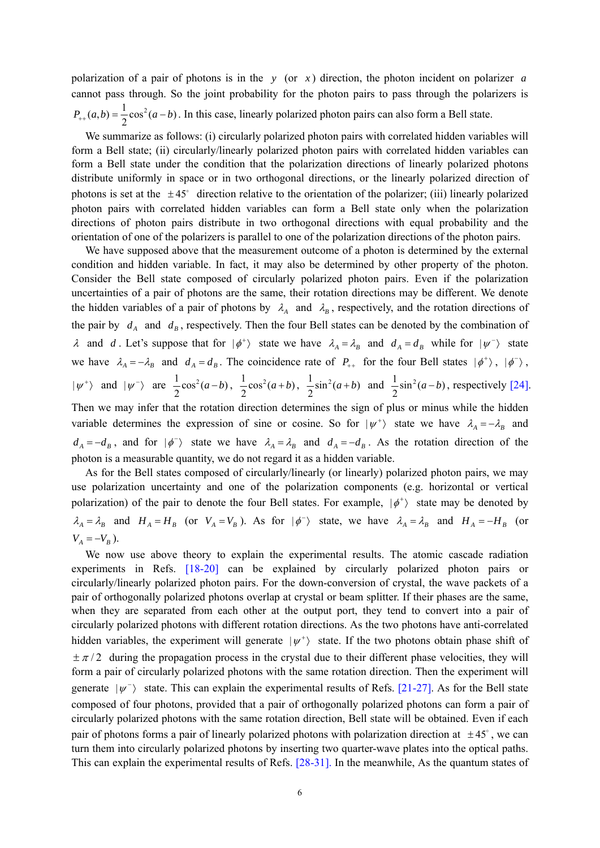polarization of a pair of photons is in the *y* (or *x* ) direction, the photon incident on polarizer *a* cannot pass through. So the joint probability for the photon pairs to pass through the polarizers is  $P_{++}(a,b) = \frac{1}{2}\cos^2(a-b)$ . In this case, linearly polarized photon pairs can also form a Bell state.

We summarize as follows: (i) circularly polarized photon pairs with correlated hidden variables will form a Bell state; (ii) circularly/linearly polarized photon pairs with correlated hidden variables can form a Bell state under the condition that the polarization directions of linearly polarized photons distribute uniformly in space or in two orthogonal directions, or the linearly polarized direction of photons is set at the  $\pm 45^\circ$  direction relative to the orientation of the polarizer; (iii) linearly polarized photon pairs with correlated hidden variables can form a Bell state only when the polarization directions of photon pairs distribute in two orthogonal directions with equal probability and the orientation of one of the polarizers is parallel to one of the polarization directions of the photon pairs.

We have supposed above that the measurement outcome of a photon is determined by the external condition and hidden variable. In fact, it may also be determined by other property of the photon. Consider the Bell state composed of circularly polarized photon pairs. Even if the polarization uncertainties of a pair of photons are the same, their rotation directions may be different. We denote the hidden variables of a pair of photons by  $\lambda_A$  and  $\lambda_B$ , respectively, and the rotation directions of the pair by  $d_A$  and  $d_B$ , respectively. Then the four Bell states can be denoted by the combination of  $\lambda$  and *d*. Let's suppose that for  $|\phi^+\rangle$  state we have  $\lambda_A = \lambda_B$  and  $d_A = d_B$  while for  $|\psi^-\rangle$  state we have  $\lambda_A = -\lambda_B$  and  $d_A = d_B$ . The coincidence rate of  $P_{++}$  for the four Bell states  $|\phi^+\rangle$ ,  $|\phi^-\rangle$ ,  $|\psi^{+}\rangle$  and  $|\psi^{-}\rangle$  are  $\frac{1}{2}\cos^{2}(a-b)$ ,  $\frac{1}{2}\cos^{2}(a+b)$ ,  $\frac{1}{2}\sin^{2}(a+b)$  and  $\frac{1}{2}\sin^{2}(a-b)$ , respectively [24]. Then we may infer that the rotation direction determines the sign of plus or minus while the hidden variable determines the expression of sine or cosine. So for  $|\psi^+\rangle$  state we have  $\lambda_A = -\lambda_B$  and

 $d_A = -d_B$ , and for  $|\phi^{-}\rangle$  state we have  $\lambda_A = \lambda_B$  and  $d_A = -d_B$ . As the rotation direction of the photon is a measurable quantity, we do not regard it as a hidden variable.

As for the Bell states composed of circularly/linearly (or linearly) polarized photon pairs, we may use polarization uncertainty and one of the polarization components (e.g. horizontal or vertical polarization) of the pair to denote the four Bell states. For example,  $|\phi^+\rangle$  state may be denoted by  $\lambda_A = \lambda_B$  and  $H_A = H_B$  (or  $V_A = V_B$ ). As for  $|\phi^-\rangle$  state, we have  $\lambda_A = \lambda_B$  and  $H_A = -H_B$  (or  $V_A = -V_B$ ).

We now use above theory to explain the experimental results. The atomic cascade radiation experiments in Refs. [18-20] can be explained by circularly polarized photon pairs or circularly/linearly polarized photon pairs. For the down-conversion of crystal, the wave packets of a pair of orthogonally polarized photons overlap at crystal or beam splitter. If their phases are the same, when they are separated from each other at the output port, they tend to convert into a pair of circularly polarized photons with different rotation directions. As the two photons have anti-correlated hidden variables, the experiment will generate  $|\psi^+\rangle$  state. If the two photons obtain phase shift of  $\pm \pi/2$  during the propagation process in the crystal due to their different phase velocities, they will form a pair of circularly polarized photons with the same rotation direction. Then the experiment will generate  $|\psi^{-}\rangle$  state. This can explain the experimental results of Refs. [21-27]. As for the Bell state composed of four photons, provided that a pair of orthogonally polarized photons can form a pair of circularly polarized photons with the same rotation direction, Bell state will be obtained. Even if each pair of photons forms a pair of linearly polarized photons with polarization direction at  $\pm 45^\circ$ , we can turn them into circularly polarized photons by inserting two quarter-wave plates into the optical paths. This can explain the experimental results of Refs. [28-31]. In the meanwhile, As the quantum states of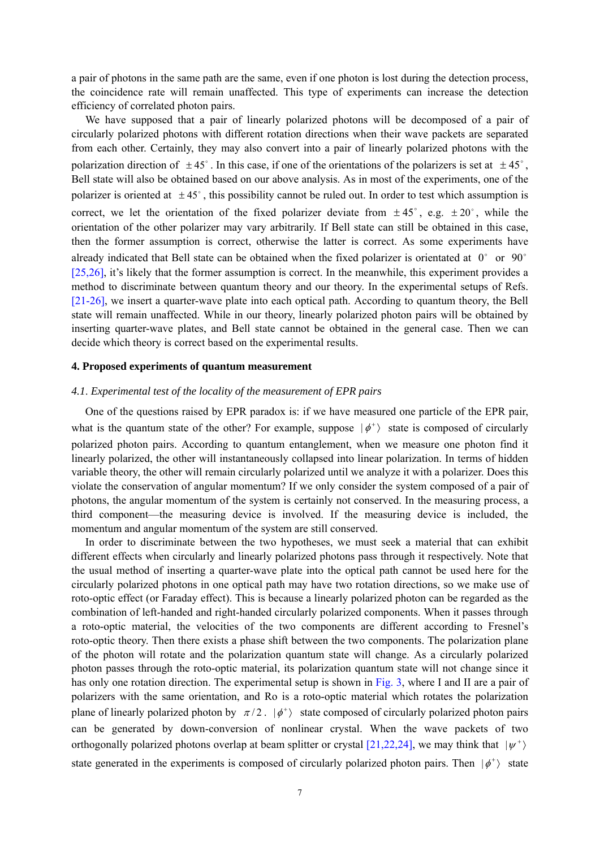a pair of photons in the same path are the same, even if one photon is lost during the detection process, the coincidence rate will remain unaffected. This type of experiments can increase the detection efficiency of correlated photon pairs.

We have supposed that a pair of linearly polarized photons will be decomposed of a pair of circularly polarized photons with different rotation directions when their wave packets are separated from each other. Certainly, they may also convert into a pair of linearly polarized photons with the polarization direction of  $\pm 45^{\circ}$ . In this case, if one of the orientations of the polarizers is set at  $\pm 45^{\circ}$ . Bell state will also be obtained based on our above analysis. As in most of the experiments, one of the polarizer is oriented at  $\pm 45^\circ$ , this possibility cannot be ruled out. In order to test which assumption is correct, we let the orientation of the fixed polarizer deviate from  $\pm 45^{\circ}$ , e.g.  $\pm 20^{\circ}$ , while the orientation of the other polarizer may vary arbitrarily. If Bell state can still be obtained in this case, then the former assumption is correct, otherwise the latter is correct. As some experiments have already indicated that Bell state can be obtained when the fixed polarizer is orientated at  $0^{\circ}$  or  $90^{\circ}$ [25,26], it's likely that the former assumption is correct. In the meanwhile, this experiment provides a method to discriminate between quantum theory and our theory. In the experimental setups of Refs. [21-26], we insert a quarter-wave plate into each optical path. According to quantum theory, the Bell state will remain unaffected. While in our theory, linearly polarized photon pairs will be obtained by inserting quarter-wave plates, and Bell state cannot be obtained in the general case. Then we can decide which theory is correct based on the experimental results.

## **4. Proposed experiments of quantum measurement**

# *4.1*. *Experimental test of the locality of the measurement of EPR pairs*

One of the questions raised by EPR paradox is: if we have measured one particle of the EPR pair, what is the quantum state of the other? For example, suppose  $|\phi^+\rangle$  state is composed of circularly polarized photon pairs. According to quantum entanglement, when we measure one photon find it linearly polarized, the other will instantaneously collapsed into linear polarization. In terms of hidden variable theory, the other will remain circularly polarized until we analyze it with a polarizer. Does this violate the conservation of angular momentum? If we only consider the system composed of a pair of photons, the angular momentum of the system is certainly not conserved. In the measuring process, a third component—the measuring device is involved. If the measuring device is included, the momentum and angular momentum of the system are still conserved.

In order to discriminate between the two hypotheses, we must seek a material that can exhibit different effects when circularly and linearly polarized photons pass through it respectively. Note that the usual method of inserting a quarter-wave plate into the optical path cannot be used here for the circularly polarized photons in one optical path may have two rotation directions, so we make use of roto-optic effect (or Faraday effect). This is because a linearly polarized photon can be regarded as the combination of left-handed and right-handed circularly polarized components. When it passes through a roto-optic material, the velocities of the two components are different according to Fresnel's roto-optic theory. Then there exists a phase shift between the two components. The polarization plane of the photon will rotate and the polarization quantum state will change. As a circularly polarized photon passes through the roto-optic material, its polarization quantum state will not change since it has only one rotation direction. The experimental setup is shown in Fig. 3, where I and II are a pair of polarizers with the same orientation, and Ro is a roto-optic material which rotates the polarization plane of linearly polarized photon by  $\pi/2$ .  $|\phi^+\rangle$  state composed of circularly polarized photon pairs can be generated by down-conversion of nonlinear crystal. When the wave packets of two orthogonally polarized photons overlap at beam splitter or crystal [21,22,24], we may think that  $|\psi^{+}\rangle$ state generated in the experiments is composed of circularly polarized photon pairs. Then  $|\phi^+\rangle$  state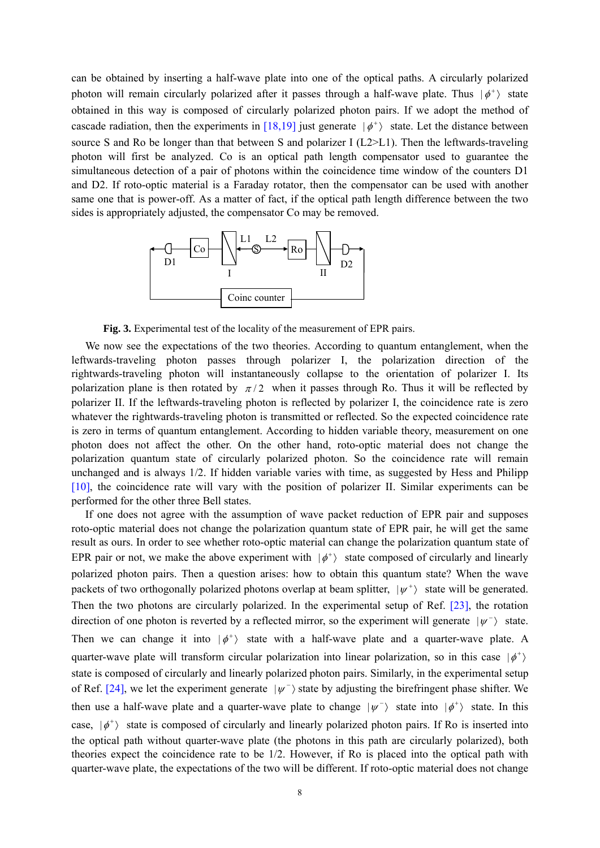can be obtained by inserting a half-wave plate into one of the optical paths. A circularly polarized photon will remain circularly polarized after it passes through a half-wave plate. Thus  $|\phi^+\rangle$  state obtained in this way is composed of circularly polarized photon pairs. If we adopt the method of cascade radiation, then the experiments in [18,19] just generate  $|\phi^+\rangle$  state. Let the distance between source S and Ro be longer than that between S and polarizer I (L2>L1). Then the leftwards-traveling photon will first be analyzed. Co is an optical path length compensator used to guarantee the simultaneous detection of a pair of photons within the coincidence time window of the counters D1 and D2. If roto-optic material is a Faraday rotator, then the compensator can be used with another same one that is power-off. As a matter of fact, if the optical path length difference between the two sides is appropriately adjusted, the compensator Co may be removed.



**Fig. 3.** Experimental test of the locality of the measurement of EPR pairs.

We now see the expectations of the two theories. According to quantum entanglement, when the leftwards-traveling photon passes through polarizer I, the polarization direction of the rightwards-traveling photon will instantaneously collapse to the orientation of polarizer I. Its polarization plane is then rotated by  $\pi/2$  when it passes through Ro. Thus it will be reflected by polarizer II. If the leftwards-traveling photon is reflected by polarizer I, the coincidence rate is zero whatever the rightwards-traveling photon is transmitted or reflected. So the expected coincidence rate is zero in terms of quantum entanglement. According to hidden variable theory, measurement on one photon does not affect the other. On the other hand, roto-optic material does not change the polarization quantum state of circularly polarized photon. So the coincidence rate will remain unchanged and is always 1/2. If hidden variable varies with time, as suggested by Hess and Philipp [10], the coincidence rate will vary with the position of polarizer II. Similar experiments can be performed for the other three Bell states.

If one does not agree with the assumption of wave packet reduction of EPR pair and supposes roto-optic material does not change the polarization quantum state of EPR pair, he will get the same result as ours. In order to see whether roto-optic material can change the polarization quantum state of EPR pair or not, we make the above experiment with  $|\phi^+\rangle$  state composed of circularly and linearly polarized photon pairs. Then a question arises: how to obtain this quantum state? When the wave packets of two orthogonally polarized photons overlap at beam splitter,  $|\psi^+\rangle$  state will be generated. Then the two photons are circularly polarized. In the experimental setup of Ref. [23], the rotation direction of one photon is reverted by a reflected mirror, so the experiment will generate  $|\psi^{-}\rangle$  state. Then we can change it into  $|\phi^+\rangle$  state with a half-wave plate and a quarter-wave plate. A quarter-wave plate will transform circular polarization into linear polarization, so in this case  $|\phi^+\rangle$ state is composed of circularly and linearly polarized photon pairs. Similarly, in the experimental setup of Ref. [24], we let the experiment generate  $|\psi^{-}\rangle$  state by adjusting the birefringent phase shifter. We then use a half-wave plate and a quarter-wave plate to change  $|\psi^{-}\rangle$  state into  $|\phi^{+}\rangle$  state. In this case,  $|\phi^+\rangle$  state is composed of circularly and linearly polarized photon pairs. If Ro is inserted into the optical path without quarter-wave plate (the photons in this path are circularly polarized), both theories expect the coincidence rate to be 1/2. However, if Ro is placed into the optical path with quarter-wave plate, the expectations of the two will be different. If roto-optic material does not change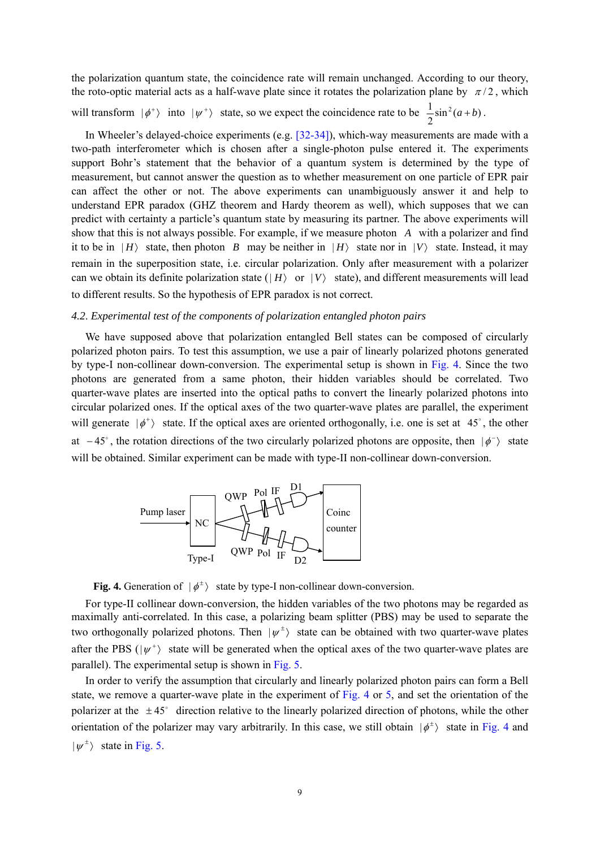the polarization quantum state, the coincidence rate will remain unchanged. According to our theory, the roto-optic material acts as a half-wave plate since it rotates the polarization plane by  $\pi/2$ , which

will transform  $|\phi^+\rangle$  into  $|\psi^+\rangle$  state, so we expect the coincidence rate to be  $\frac{1}{2}\sin^2(a+b)$ .

In Wheeler's delayed-choice experiments (e.g. [32-34]), which-way measurements are made with a two-path interferometer which is chosen after a single-photon pulse entered it. The experiments support Bohr's statement that the behavior of a quantum system is determined by the type of measurement, but cannot answer the question as to whether measurement on one particle of EPR pair can affect the other or not. The above experiments can unambiguously answer it and help to understand EPR paradox (GHZ theorem and Hardy theorem as well), which supposes that we can predict with certainty a particle's quantum state by measuring its partner. The above experiments will show that this is not always possible. For example, if we measure photon *A* with a polarizer and find it to be in  $|H\rangle$  state, then photon *B* may be neither in  $|H\rangle$  state nor in  $|V\rangle$  state. Instead, it may remain in the superposition state, i.e. circular polarization. Only after measurement with a polarizer can we obtain its definite polarization state ( $|H\rangle$  or  $|V\rangle$  state), and different measurements will lead to different results. So the hypothesis of EPR paradox is not correct.

## *4.2*. *Experimental test of the components of polarization entangled photon pairs*

We have supposed above that polarization entangled Bell states can be composed of circularly polarized photon pairs. To test this assumption, we use a pair of linearly polarized photons generated by type-I non-collinear down-conversion. The experimental setup is shown in Fig. 4. Since the two photons are generated from a same photon, their hidden variables should be correlated. Two quarter-wave plates are inserted into the optical paths to convert the linearly polarized photons into circular polarized ones. If the optical axes of the two quarter-wave plates are parallel, the experiment will generate  $|\phi^+\rangle$  state. If the optical axes are oriented orthogonally, i.e. one is set at 45°, the other at  $-45^\circ$ , the rotation directions of the two circularly polarized photons are opposite, then  $|\phi^{-}\rangle$  state will be obtained. Similar experiment can be made with type-II non-collinear down-conversion.



**Fig. 4.** Generation of  $|\phi^{\pm}\rangle$  state by type-I non-collinear down-conversion.

For type-II collinear down-conversion, the hidden variables of the two photons may be regarded as maximally anti-correlated. In this case, a polarizing beam splitter (PBS) may be used to separate the two orthogonally polarized photons. Then  $|\psi^{\pm}\rangle$  state can be obtained with two quarter-wave plates after the PBS ( $|\psi^+\rangle$ ) state will be generated when the optical axes of the two quarter-wave plates are parallel). The experimental setup is shown in Fig. 5.

In order to verify the assumption that circularly and linearly polarized photon pairs can form a Bell state, we remove a quarter-wave plate in the experiment of Fig. 4 or 5, and set the orientation of the polarizer at the  $\pm 45^{\circ}$  direction relative to the linearly polarized direction of photons, while the other orientation of the polarizer may vary arbitrarily. In this case, we still obtain  $|\phi^{\pm}\rangle$  state in Fig. 4 and  $|\psi^{\pm}\rangle$  state in Fig. 5.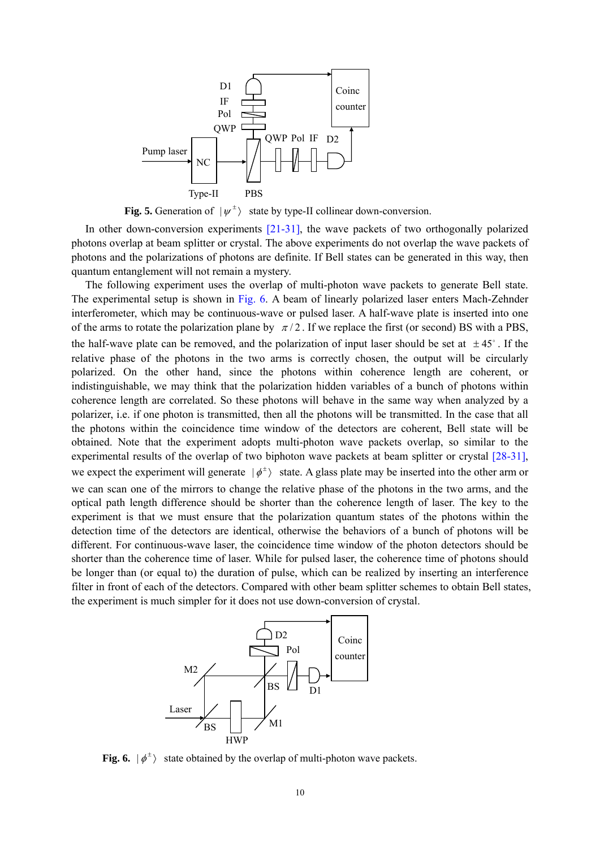

**Fig. 5.** Generation of  $|\psi^{\pm}\rangle$  state by type-II collinear down-conversion.

In other down-conversion experiments [21-31], the wave packets of two orthogonally polarized photons overlap at beam splitter or crystal. The above experiments do not overlap the wave packets of photons and the polarizations of photons are definite. If Bell states can be generated in this way, then quantum entanglement will not remain a mystery.

The following experiment uses the overlap of multi-photon wave packets to generate Bell state. The experimental setup is shown in Fig. 6. A beam of linearly polarized laser enters Mach-Zehnder interferometer, which may be continuous-wave or pulsed laser. A half-wave plate is inserted into one of the arms to rotate the polarization plane by  $\pi/2$ . If we replace the first (or second) BS with a PBS, the half-wave plate can be removed, and the polarization of input laser should be set at  $\pm 45^{\circ}$ . If the relative phase of the photons in the two arms is correctly chosen, the output will be circularly polarized. On the other hand, since the photons within coherence length are coherent, or indistinguishable, we may think that the polarization hidden variables of a bunch of photons within coherence length are correlated. So these photons will behave in the same way when analyzed by a polarizer, i.e. if one photon is transmitted, then all the photons will be transmitted. In the case that all the photons within the coincidence time window of the detectors are coherent, Bell state will be obtained. Note that the experiment adopts multi-photon wave packets overlap, so similar to the experimental results of the overlap of two biphoton wave packets at beam splitter or crystal [28-31], we expect the experiment will generate  $|\phi^{\pm}\rangle$  state. A glass plate may be inserted into the other arm or we can scan one of the mirrors to change the relative phase of the photons in the two arms, and the optical path length difference should be shorter than the coherence length of laser. The key to the experiment is that we must ensure that the polarization quantum states of the photons within the detection time of the detectors are identical, otherwise the behaviors of a bunch of photons will be different. For continuous-wave laser, the coincidence time window of the photon detectors should be shorter than the coherence time of laser. While for pulsed laser, the coherence time of photons should be longer than (or equal to) the duration of pulse, which can be realized by inserting an interference filter in front of each of the detectors. Compared with other beam splitter schemes to obtain Bell states, the experiment is much simpler for it does not use down-conversion of crystal.



**Fig. 6.**  $|\phi^{\pm}\rangle$  state obtained by the overlap of multi-photon wave packets.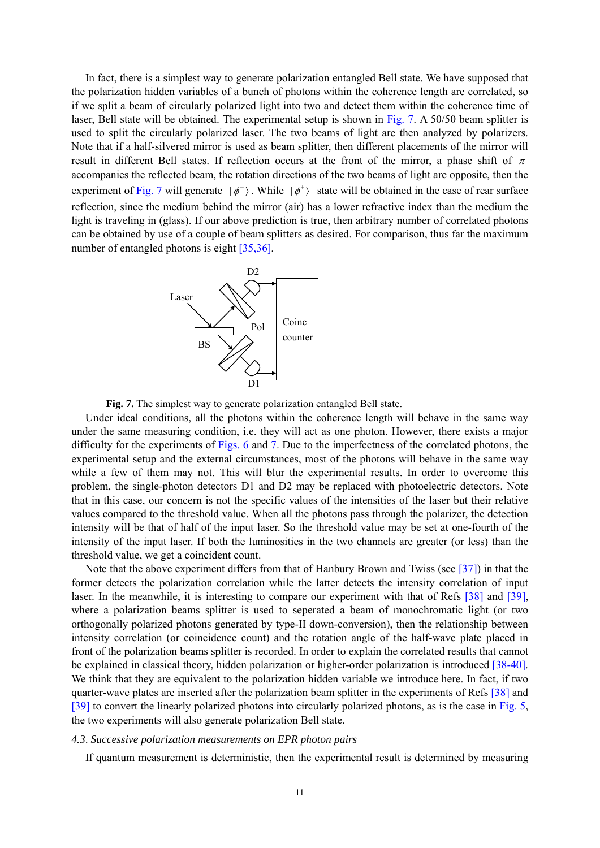In fact, there is a simplest way to generate polarization entangled Bell state. We have supposed that the polarization hidden variables of a bunch of photons within the coherence length are correlated, so if we split a beam of circularly polarized light into two and detect them within the coherence time of laser, Bell state will be obtained. The experimental setup is shown in Fig. 7. A 50/50 beam splitter is used to split the circularly polarized laser. The two beams of light are then analyzed by polarizers. Note that if a half-silvered mirror is used as beam splitter, then different placements of the mirror will result in different Bell states. If reflection occurs at the front of the mirror, a phase shift of  $\pi$ accompanies the reflected beam, the rotation directions of the two beams of light are opposite, then the experiment of Fig. 7 will generate  $|\phi^{-}\rangle$ . While  $|\phi^{+}\rangle$  state will be obtained in the case of rear surface reflection, since the medium behind the mirror (air) has a lower refractive index than the medium the light is traveling in (glass). If our above prediction is true, then arbitrary number of correlated photons can be obtained by use of a couple of beam splitters as desired. For comparison, thus far the maximum number of entangled photons is eight [35,36].



**Fig. 7.** The simplest way to generate polarization entangled Bell state.

Under ideal conditions, all the photons within the coherence length will behave in the same way under the same measuring condition, i.e. they will act as one photon. However, there exists a major difficulty for the experiments of Figs. 6 and 7. Due to the imperfectness of the correlated photons, the experimental setup and the external circumstances, most of the photons will behave in the same way while a few of them may not. This will blur the experimental results. In order to overcome this problem, the single-photon detectors D1 and D2 may be replaced with photoelectric detectors. Note that in this case, our concern is not the specific values of the intensities of the laser but their relative values compared to the threshold value. When all the photons pass through the polarizer, the detection intensity will be that of half of the input laser. So the threshold value may be set at one-fourth of the intensity of the input laser. If both the luminosities in the two channels are greater (or less) than the threshold value, we get a coincident count.

Note that the above experiment differs from that of Hanbury Brown and Twiss (see [37]) in that the former detects the polarization correlation while the latter detects the intensity correlation of input laser. In the meanwhile, it is interesting to compare our experiment with that of Refs [38] and [39], where a polarization beams splitter is used to seperated a beam of monochromatic light (or two orthogonally polarized photons generated by type-II down-conversion), then the relationship between intensity correlation (or coincidence count) and the rotation angle of the half-wave plate placed in front of the polarization beams splitter is recorded. In order to explain the correlated results that cannot be explained in classical theory, hidden polarization or higher-order polarization is introduced [38-40]. We think that they are equivalent to the polarization hidden variable we introduce here. In fact, if two quarter-wave plates are inserted after the polarization beam splitter in the experiments of Refs [38] and [39] to convert the linearly polarized photons into circularly polarized photons, as is the case in Fig. 5, the two experiments will also generate polarization Bell state.

# *4.3*. *Successive polarization measurements on EPR photon pairs*

If quantum measurement is deterministic, then the experimental result is determined by measuring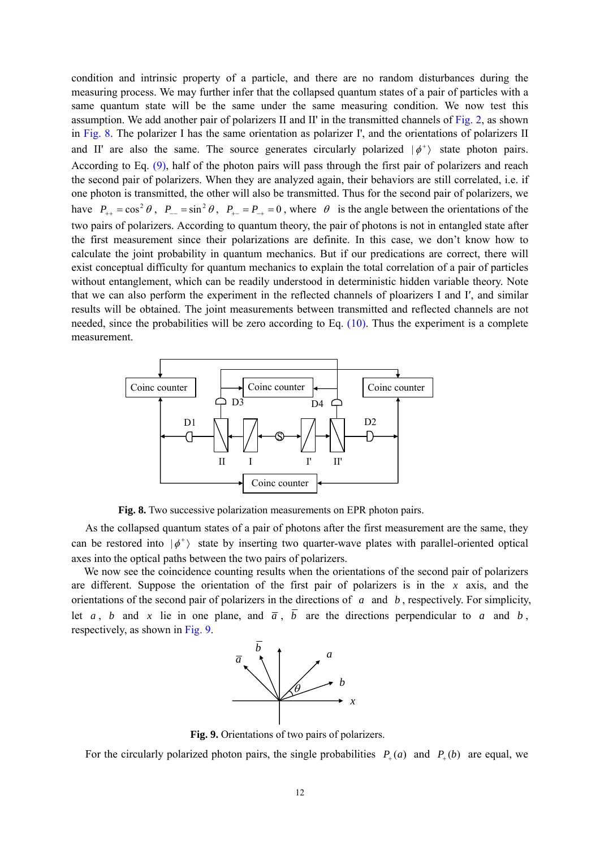condition and intrinsic property of a particle, and there are no random disturbances during the measuring process. We may further infer that the collapsed quantum states of a pair of particles with a same quantum state will be the same under the same measuring condition. We now test this assumption. We add another pair of polarizers II and II' in the transmitted channels of Fig. 2, as shown in Fig. 8. The polarizer I has the same orientation as polarizer I', and the orientations of polarizers II and II' are also the same. The source generates circularly polarized  $|\phi^+\rangle$  state photon pairs. According to Eq. (9), half of the photon pairs will pass through the first pair of polarizers and reach the second pair of polarizers. When they are analyzed again, their behaviors are still correlated, i.e. if one photon is transmitted, the other will also be transmitted. Thus for the second pair of polarizers, we have  $P_{++} = \cos^2 \theta$ ,  $P_{--} = \sin^2 \theta$ ,  $P_{+-} = P_{-+} = 0$ , where  $\theta$  is the angle between the orientations of the two pairs of polarizers. According to quantum theory, the pair of photons is not in entangled state after the first measurement since their polarizations are definite. In this case, we don't know how to calculate the joint probability in quantum mechanics. But if our predications are correct, there will exist conceptual difficulty for quantum mechanics to explain the total correlation of a pair of particles without entanglement, which can be readily understood in deterministic hidden variable theory. Note that we can also perform the experiment in the reflected channels of ploarizers I and I′, and similar results will be obtained. The joint measurements between transmitted and reflected channels are not needed, since the probabilities will be zero according to Eq. (10). Thus the experiment is a complete measurement.



**Fig. 8.** Two successive polarization measurements on EPR photon pairs.

As the collapsed quantum states of a pair of photons after the first measurement are the same, they can be restored into  $|\phi^+\rangle$  state by inserting two quarter-wave plates with parallel-oriented optical axes into the optical paths between the two pairs of polarizers.

We now see the coincidence counting results when the orientations of the second pair of polarizers are different. Suppose the orientation of the first pair of polarizers is in the *x* axis, and the orientations of the second pair of polarizers in the directions of *a* and *b* , respectively. For simplicity, let *a*, *b* and *x* lie in one plane, and  $\overline{a}$ ,  $\overline{b}$  are the directions perpendicular to *a* and *b*, respectively, as shown in Fig. 9.



**Fig. 9.** Orientations of two pairs of polarizers.

For the circularly polarized photon pairs, the single probabilities  $P_+(a)$  and  $P_+(b)$  are equal, we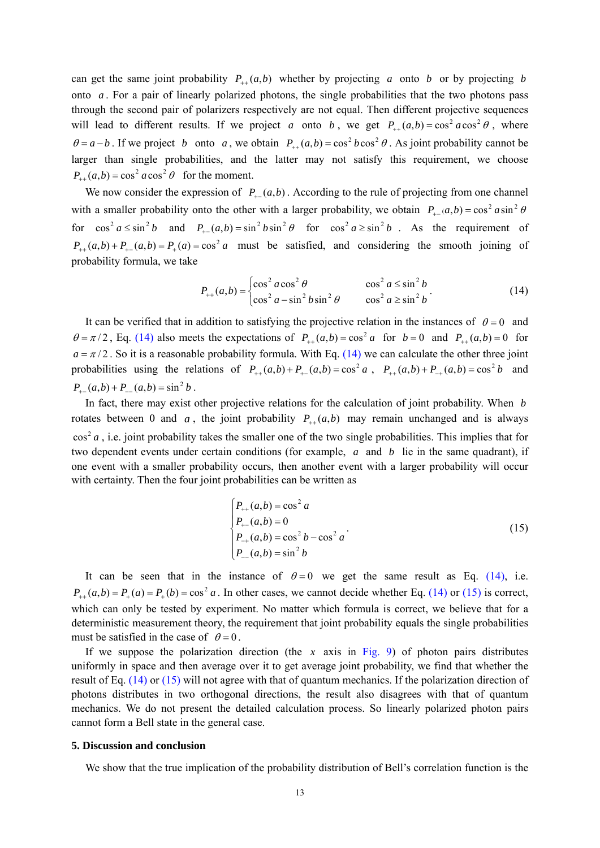can get the same joint probability  $P_{++}(a,b)$  whether by projecting *a* onto *b* or by projecting *b* onto *a* . For a pair of linearly polarized photons, the single probabilities that the two photons pass through the second pair of polarizers respectively are not equal. Then different projective sequences will lead to different results. If we project *a* onto *b*, we get  $P_{++}(a,b) = \cos^2 a \cos^2 \theta$ , where  $\theta = a - b$ . If we project *b* onto *a*, we obtain  $P_{+}(a,b) = \cos^2 b \cos^2 \theta$ . As joint probability cannot be larger than single probabilities, and the latter may not satisfy this requirement, we choose  $P_{1} (a,b) = \cos^2 a \cos^2 \theta$  for the moment.

We now consider the expression of  $P_+(a,b)$ . According to the rule of projecting from one channel with a smaller probability onto the other with a larger probability, we obtain  $P_{+-}(a,b) = \cos^2 a \sin^2 \theta$ for  $\cos^2 a \le \sin^2 b$  and  $P_1(a,b) = \sin^2 b \sin^2 \theta$  for  $\cos^2 a \ge \sin^2 b$ . As the requirement of  $P_{+} (a,b) + P_{+} (a,b) = P_{+} (a) = \cos^2 a$  must be satisfied, and considering the smooth joining of probability formula, we take

$$
P_{++}(a,b) = \begin{cases} \cos^2 a \cos^2 \theta & \cos^2 a \le \sin^2 b \\ \cos^2 a - \sin^2 b \sin^2 \theta & \cos^2 a \ge \sin^2 b \end{cases}
$$
 (14)

It can be verified that in addition to satisfying the projective relation in the instances of  $\theta = 0$  and  $\theta = \pi/2$ , Eq. (14) also meets the expectations of  $P_{+}$   $(a,b) = \cos^2 a$  for  $b = 0$  and  $P_{+}$   $(a,b) = 0$  for  $a = \pi/2$ . So it is a reasonable probability formula. With Eq. (14) we can calculate the other three joint probabilities using the relations of  $P_{+}(a,b) + P_{+}(a,b) = \cos^2 a$ ,  $P_{+}(a,b) + P_{-}(a,b) = \cos^2 b$  and  $P_ (a,b) + P_ (a,b) = \sin^2 b$ .

In fact, there may exist other projective relations for the calculation of joint probability. When *b* rotates between 0 and *a*, the joint probability  $P_{++}(a,b)$  may remain unchanged and is always  $\cos^2 a$ , i.e. joint probability takes the smaller one of the two single probabilities. This implies that for two dependent events under certain conditions (for example, *a* and *b* lie in the same quadrant), if one event with a smaller probability occurs, then another event with a larger probability will occur with certainty. Then the four joint probabilities can be written as

$$
\begin{cases}\nP_{++}(a,b) = \cos^2 a \\
P_{+-}(a,b) = 0 \\
P_{-+}(a,b) = \cos^2 b - \cos^2 a \\
P_{--}(a,b) = \sin^2 b\n\end{cases}
$$
\n(15)

It can be seen that in the instance of  $\theta = 0$  we get the same result as Eq. (14), i.e.  $P_{\alpha}(a,b) = P_{\alpha}(a) = P_{\alpha}(b) = \cos^2 a$ . In other cases, we cannot decide whether Eq. (14) or (15) is correct, which can only be tested by experiment. No matter which formula is correct, we believe that for a deterministic measurement theory, the requirement that joint probability equals the single probabilities must be satisfied in the case of  $\theta = 0$ .

If we suppose the polarization direction (the  $x$  axis in Fig. 9) of photon pairs distributes uniformly in space and then average over it to get average joint probability, we find that whether the result of Eq. (14) or (15) will not agree with that of quantum mechanics. If the polarization direction of photons distributes in two orthogonal directions, the result also disagrees with that of quantum mechanics. We do not present the detailed calculation process. So linearly polarized photon pairs cannot form a Bell state in the general case.

#### **5. Discussion and conclusion**

We show that the true implication of the probability distribution of Bell's correlation function is the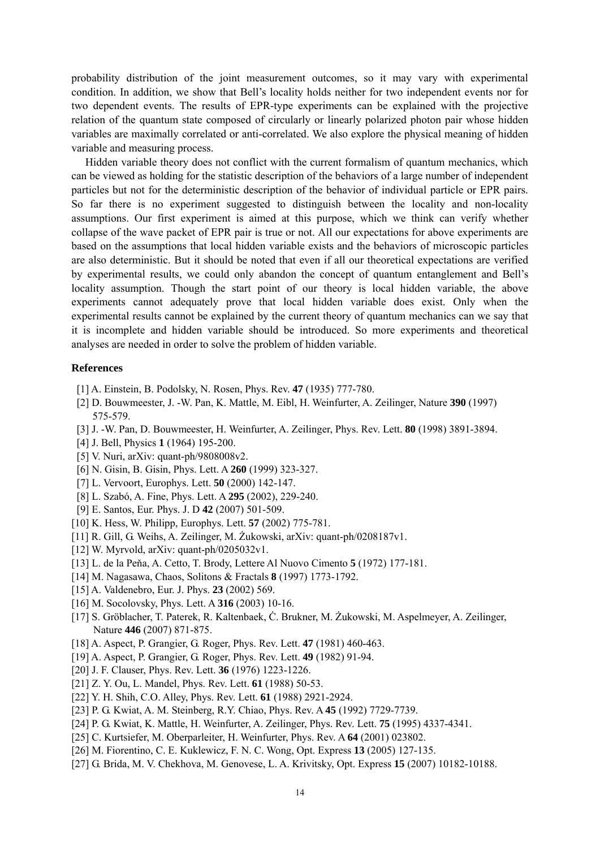probability distribution of the joint measurement outcomes, so it may vary with experimental condition. In addition, we show that Bell's locality holds neither for two independent events nor for two dependent events. The results of EPR-type experiments can be explained with the projective relation of the quantum state composed of circularly or linearly polarized photon pair whose hidden variables are maximally correlated or anti-correlated. We also explore the physical meaning of hidden variable and measuring process.

Hidden variable theory does not conflict with the current formalism of quantum mechanics, which can be viewed as holding for the statistic description of the behaviors of a large number of independent particles but not for the deterministic description of the behavior of individual particle or EPR pairs. So far there is no experiment suggested to distinguish between the locality and non-locality assumptions. Our first experiment is aimed at this purpose, which we think can verify whether collapse of the wave packet of EPR pair is true or not. All our expectations for above experiments are based on the assumptions that local hidden variable exists and the behaviors of microscopic particles are also deterministic. But it should be noted that even if all our theoretical expectations are verified by experimental results, we could only abandon the concept of quantum entanglement and Bell's locality assumption. Though the start point of our theory is local hidden variable, the above experiments cannot adequately prove that local hidden variable does exist. Only when the experimental results cannot be explained by the current theory of quantum mechanics can we say that it is incomplete and hidden variable should be introduced. So more experiments and theoretical analyses are needed in order to solve the problem of hidden variable.

## **References**

- [1] A. Einstein, B. Podolsky, N. Rosen, Phys. Rev. **47** (1935) 777-780.
- [2] D. Bouwmeester, J. -W. Pan, K. Mattle, M. Eibl, H. Weinfurter, A. Zeilinger, Nature **390** (1997) 575-579.
- [3] J. -W. Pan, D. Bouwmeester, H. Weinfurter, A. Zeilinger, Phys. Rev. Lett. **80** (1998) 3891-3894.
- [4] J. Bell, Physics **1** (1964) 195-200.
- [5] V. Nuri, arXiv: quant-ph/9808008v2.
- [6] N. Gisin, B. Gisin, Phys. Lett. A **260** (1999) 323-327.
- [7] L. Vervoort, Europhys. Lett. **50** (2000) 142-147.
- [8] L. Szabó, A. Fine, Phys. Lett. A **295** (2002), 229-240.
- [9] E. Santos, Eur. Phys. J. D **42** (2007) 501-509.
- [10] K. Hess, W. Philipp, Europhys. Lett. **57** (2002) 775-781.
- [11] R. Gill, G. Weihs, A. Zeilinger, M. Żukowski, arXiv: quant-ph/0208187v1.
- [12] W. Myrvold, arXiv: quant-ph/0205032v1.
- [13] L. de la Peňa, A. Cetto, T. Brody, Lettere Al Nuovo Cimento **5** (1972) 177-181.
- [14] M. Nagasawa, Chaos, Solitons & Fractals **8** (1997) 1773-1792.
- [15] A. Valdenebro, Eur. J. Phys. **23** (2002) 569.
- [16] M. Socolovsky, Phys. Lett. A **316** (2003) 10-16.
- [17] S. Gröblacher, T. Paterek, R. Kaltenbaek, Ċ. Brukner, M. Żukowski, M. Aspelmeyer, A. Zeilinger, Nature **446** (2007) 871-875.
- [18] A. Aspect, P. Grangier, G. Roger, Phys. Rev. Lett. **47** (1981) 460-463.
- [19] A. Aspect, P. Grangier, G. Roger, Phys. Rev. Lett. **49** (1982) 91-94.
- [20] J. F. Clauser, Phys. Rev. Lett. **36** (1976) 1223-1226.
- [21] Z. Y. Ou, L. Mandel, Phys. Rev. Lett. **61** (1988) 50-53.
- [22] Y. H. Shih, C.O. Alley, Phys. Rev. Lett. **61** (1988) 2921-2924.
- [23] P. G. Kwiat, A. M. Steinberg, R.Y. Chiao, Phys. Rev. A **45** (1992) 7729-7739.
- [24] P. G. Kwiat, K. Mattle, H. Weinfurter, A. Zeilinger, Phys. Rev. Lett. **75** (1995) 4337-4341.
- [25] C. Kurtsiefer, M. Oberparleiter, H. Weinfurter, Phys. Rev. A **64** (2001) 023802.
- [26] M. Fiorentino, C. E. Kuklewicz, F. N. C. Wong, Opt. Express **13** (2005) 127-135.
- [27] G. Brida, M. V. Chekhova, M. Genovese, L. A. Krivitsky, Opt. Express **15** (2007) 10182-10188.